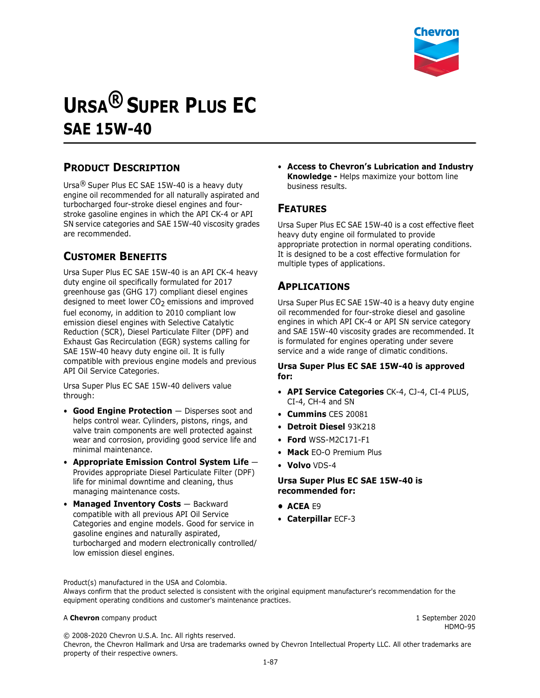

# **URSA® SUPER PLUS EC SAE 15W-40**

## **PRODUCT DESCRIPTION**

Ursa® Super Plus EC SAE 15W-40 is a heavy duty engine oil recommended for all naturally aspirated and turbocharged four-stroke diesel engines and fourstroke gasoline engines in which the API CK-4 or API SN service categories and SAE 15W-40 viscosity grades are recommended.

## **CUSTOMER BENEFITS**

Ursa Super Plus EC SAE 15W-40 is an API CK-4 heavy duty engine oil specifically formulated for 2017 greenhouse gas (GHG 17) compliant diesel engines designed to meet lower  $CO<sub>2</sub>$  emissions and improved fuel economy, in addition to 2010 compliant low emission diesel engines with Selective Catalytic Reduction (SCR), Diesel Particulate Filter (DPF) and Exhaust Gas Recirculation (EGR) systems calling for SAE 15W-40 heavy duty engine oil. It is fully compatible with previous engine models and previous API Oil Service Categories.

Ursa Super Plus EC SAE 15W-40 delivers value through:

- **Good Engine Protection**  Disperses soot and helps control wear. Cylinders, pistons, rings, and valve train components are well protected against wear and corrosion, providing good service life and minimal maintenance.
- **Appropriate Emission Control System Life** Provides appropriate Diesel Particulate Filter (DPF) life for minimal downtime and cleaning, thus managing maintenance costs.
- **Managed Inventory Costs** Backward compatible with all previous API Oil Service Categories and engine models. Good for service in gasoline engines and naturally aspirated, turbocharged and modern electronically controlled/ low emission diesel engines.

• **Access to Chevron's Lubrication and Industry Knowledge -** Helps maximize your bottom line business results.

### **FEATURES**

Ursa Super Plus EC SAE 15W-40 is a cost effective fleet heavy duty engine oil formulated to provide appropriate protection in normal operating conditions. It is designed to be a cost effective formulation for multiple types of applications.

## **APPLICATIONS**

Ursa Super Plus EC SAE 15W-40 is a heavy duty engine oil recommended for four-stroke diesel and gasoline engines in which API CK-4 or API SN service category and SAE 15W-40 viscosity grades are recommended. It is formulated for engines operating under severe service and a wide range of climatic conditions.

#### **Ursa Super Plus EC SAE 15W-40 is approved for:**

- **API Service Categories** CK-4, CJ-4, CI-4 PLUS, CI-4, CH-4 and SN
- **Cummins** CES 20081
- **Detroit Diesel** 93K218
- **Ford** WSS-M2C171-F1
- **Mack** EO-O Premium Plus
- **Volvo** VDS-4

#### **Ursa Super Plus EC SAE 15W-40 is recommended for:**

- **• ACEA** E9
- **Caterpillar** ECF-3

Product(s) manufactured in the USA and Colombia. Always confirm that the product selected is consistent with the original equipment manufacturer's recommendation for the equipment operating conditions and customer's maintenance practices.

#### A **Chevron** company product **1** September 2020

HDMO-95

© 2008-2020 Chevron U.S.A. Inc. All rights reserved. Chevron, the Chevron Hallmark and Ursa are trademarks owned by Chevron Intellectual Property LLC. All other trademarks are property of their respective owners.